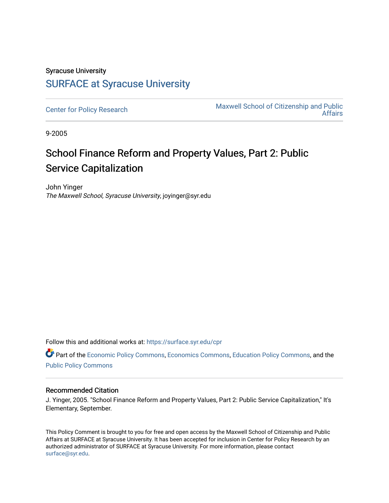## Syracuse University [SURFACE at Syracuse University](https://surface.syr.edu/)

[Center for Policy Research](https://surface.syr.edu/cpr) Maxwell School of Citizenship and Public [Affairs](https://surface.syr.edu/maxwell) 

9-2005

## School Finance Reform and Property Values, Part 2: Public Service Capitalization

John Yinger The Maxwell School, Syracuse University, joyinger@syr.edu

Follow this and additional works at: [https://surface.syr.edu/cpr](https://surface.syr.edu/cpr?utm_source=surface.syr.edu%2Fcpr%2F354&utm_medium=PDF&utm_campaign=PDFCoverPages) 

Part of the [Economic Policy Commons](http://network.bepress.com/hgg/discipline/1025?utm_source=surface.syr.edu%2Fcpr%2F354&utm_medium=PDF&utm_campaign=PDFCoverPages), [Economics Commons,](http://network.bepress.com/hgg/discipline/340?utm_source=surface.syr.edu%2Fcpr%2F354&utm_medium=PDF&utm_campaign=PDFCoverPages) [Education Policy Commons](http://network.bepress.com/hgg/discipline/1026?utm_source=surface.syr.edu%2Fcpr%2F354&utm_medium=PDF&utm_campaign=PDFCoverPages), and the [Public Policy Commons](http://network.bepress.com/hgg/discipline/400?utm_source=surface.syr.edu%2Fcpr%2F354&utm_medium=PDF&utm_campaign=PDFCoverPages)

## Recommended Citation

J. Yinger, 2005. "School Finance Reform and Property Values, Part 2: Public Service Capitalization," It's Elementary, September.

This Policy Comment is brought to you for free and open access by the Maxwell School of Citizenship and Public Affairs at SURFACE at Syracuse University. It has been accepted for inclusion in Center for Policy Research by an authorized administrator of SURFACE at Syracuse University. For more information, please contact [surface@syr.edu.](mailto:surface@syr.edu)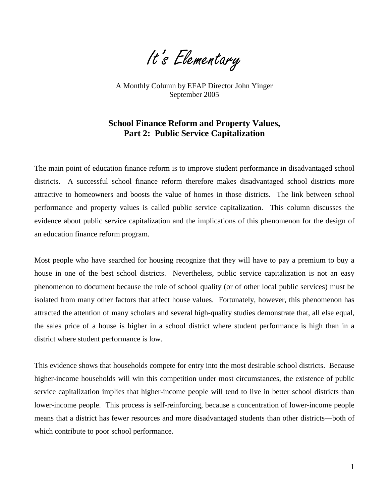It's Elementary

A Monthly Column by EFAP Director John Yinger September 2005

## **School Finance Reform and Property Values, Part 2: Public Service Capitalization**

The main point of education finance reform is to improve student performance in disadvantaged school districts. A successful school finance reform therefore makes disadvantaged school districts more attractive to homeowners and boosts the value of homes in those districts. The link between school performance and property values is called public service capitalization. This column discusses the evidence about public service capitalization and the implications of this phenomenon for the design of an education finance reform program.

Most people who have searched for housing recognize that they will have to pay a premium to buy a house in one of the best school districts. Nevertheless, public service capitalization is not an easy phenomenon to document because the role of school quality (or of other local public services) must be isolated from many other factors that affect house values. Fortunately, however, this phenomenon has attracted the attention of many scholars and several high-quality studies demonstrate that, all else equal, the sales price of a house is higher in a school district where student performance is high than in a district where student performance is low.

This evidence shows that households compete for entry into the most desirable school districts. Because higher-income households will win this competition under most circumstances, the existence of public service capitalization implies that higher-income people will tend to live in better school districts than lower-income people. This process is self-reinforcing, because a concentration of lower-income people means that a district has fewer resources and more disadvantaged students than other districts—both of which contribute to poor school performance.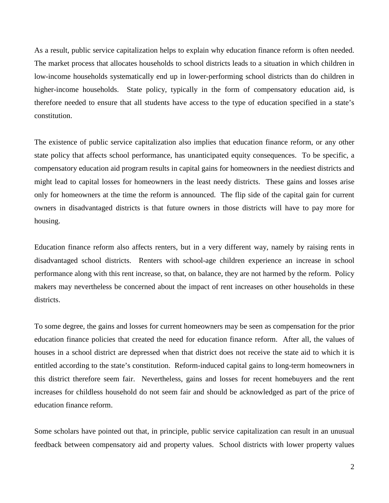As a result, public service capitalization helps to explain why education finance reform is often needed. The market process that allocates households to school districts leads to a situation in which children in low-income households systematically end up in lower-performing school districts than do children in higher-income households. State policy, typically in the form of compensatory education aid, is therefore needed to ensure that all students have access to the type of education specified in a state's constitution.

The existence of public service capitalization also implies that education finance reform, or any other state policy that affects school performance, has unanticipated equity consequences. To be specific, a compensatory education aid program results in capital gains for homeowners in the neediest districts and might lead to capital losses for homeowners in the least needy districts. These gains and losses arise only for homeowners at the time the reform is announced. The flip side of the capital gain for current owners in disadvantaged districts is that future owners in those districts will have to pay more for housing.

Education finance reform also affects renters, but in a very different way, namely by raising rents in disadvantaged school districts. Renters with school-age children experience an increase in school performance along with this rent increase, so that, on balance, they are not harmed by the reform. Policy makers may nevertheless be concerned about the impact of rent increases on other households in these districts.

To some degree, the gains and losses for current homeowners may be seen as compensation for the prior education finance policies that created the need for education finance reform. After all, the values of houses in a school district are depressed when that district does not receive the state aid to which it is entitled according to the state's constitution. Reform-induced capital gains to long-term homeowners in this district therefore seem fair. Nevertheless, gains and losses for recent homebuyers and the rent increases for childless household do not seem fair and should be acknowledged as part of the price of education finance reform.

Some scholars have pointed out that, in principle, public service capitalization can result in an unusual feedback between compensatory aid and property values. School districts with lower property values